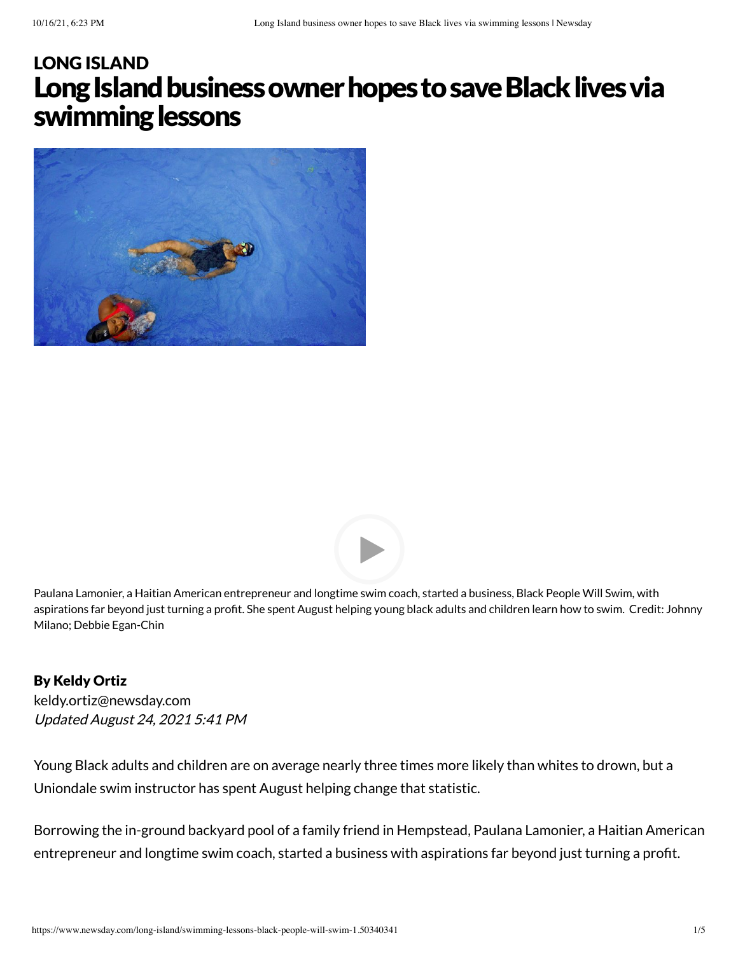## Long Island business owner hopes to save Black lives via swimming lessons LONG [ISLAND](https://www.newsday.com/long-island)





Paulana Lamonier, a Haitian American entrepreneur and longtime swim coach, started a business, Black People Will Swim, with aspirations far beyond just turning a profit. She spent August helping young black adults and children learn how to swim. Credit: Johnny Milano; Debbie Egan-Chin

By Keldy Ortiz Updated August 24, 2021 5:41 PM [keldy.ortiz@newsday.com](mailto:keldy.ortiz@newsday.com?subject=Long%20Island%C2%A0business%20owner%C2%A0hopes%20to%20save%20Black%20lives%20via%20swimming%20lessons&body=Young%20Black%20adults%20and%20children%20are%20on%20average%20nearly%20three%20times%20more%20likely%20than%20whites%20to%20drown,%20but%20a%20Uniondale%20swim%20instructor%20has%20spent%20August%20helping%20change%20that%20statistic.%20Borrowing%20the%20in-gro%0D%0Ahttps://www.newsday.com/long-island/swimming-lessons-black-people-will-swim-1.50340341)

Young Black adults and children are on average nearly three times more likely than whites to drown, but a Uniondale swim instructor has spent August helping change that statistic.

Borrowing the in-ground backyard pool of a family friend in Hempstead, Paulana Lamonier, a Haitian American entrepreneur and longtime swim coach, started a business with aspirations far beyond just turning a profit.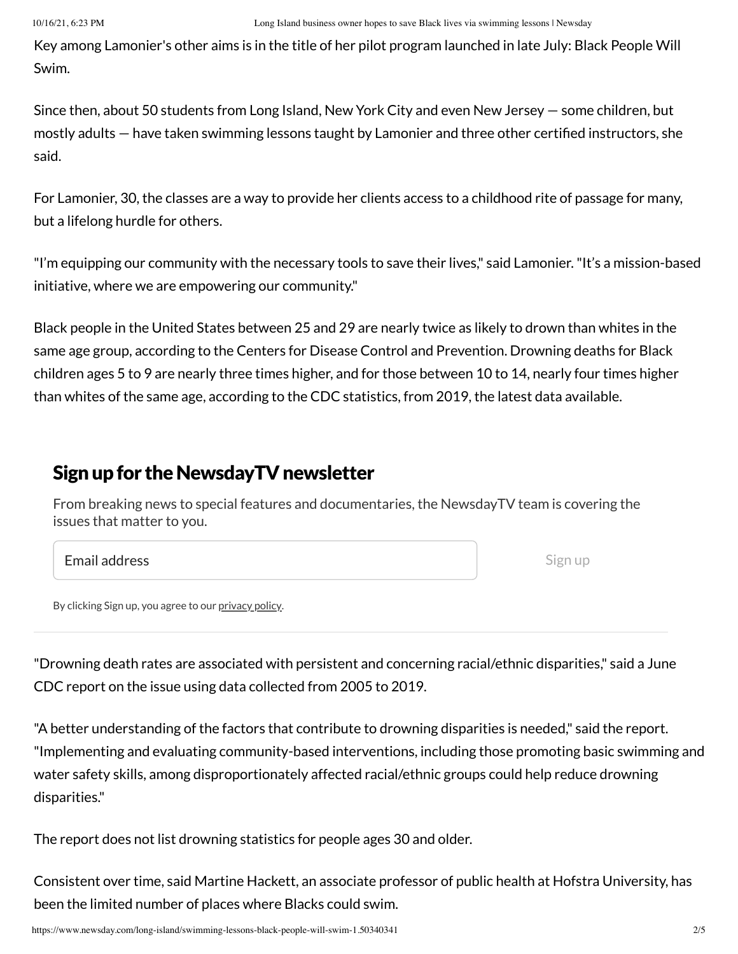Key among Lamonier's other aims is in the title of her pilot program launched in late July: Black People Will Swim.

Since then, about 50 students from Long Island, New York City and even New Jersey — some children, but mostly adults — have taken swimming lessons taught by Lamonier and three other certified instructors, she said.

For Lamonier, 30, the classes are a way to provide her clients access to a childhood rite of passage for many, but a lifelong hurdle for others.

"I'm equipping our community with the necessary tools to save their lives," said Lamonier."It's a mission-based initiative, where we are empowering our community."

Black people in the United States between 25 and 29 are nearly twice as likely to drown than whites in the same age group, according to the Centers for Disease Control and Prevention. Drowning deaths for Black children ages 5 to 9 are nearly three times higher, and for those between 10 to 14, nearly four times higher than whites of the same age, according to the CDC statistics, from 2019, the latest data available.

## Sign up for the NewsdayTV newsletter

From breaking news to special features and documentaries, the NewsdayTV team is covering the issues that matter to you.

Email address

Sign up

By clicking Sign up, you agree to our [privacy](https://www.newsday.com/privacy) policy.

"Drowning death rates are associated with persistent and concerning racial/ethnic disparities," said a June CDC report on the issue using data collected from 2005 to 2019.

"A better understanding of the factors that contribute to drowning disparities is needed," said the report. "Implementing and evaluating community-based interventions, including those promoting basic swimming and water safety skills, among disproportionately affected racial/ethnic groups could help reduce drowning disparities."

The report does not list drowning statistics for people ages 30 and older.

Consistent over time, said Martine Hackett, an associate professor of public health at Hofstra University, has been the limited number of places where Blacks could swim.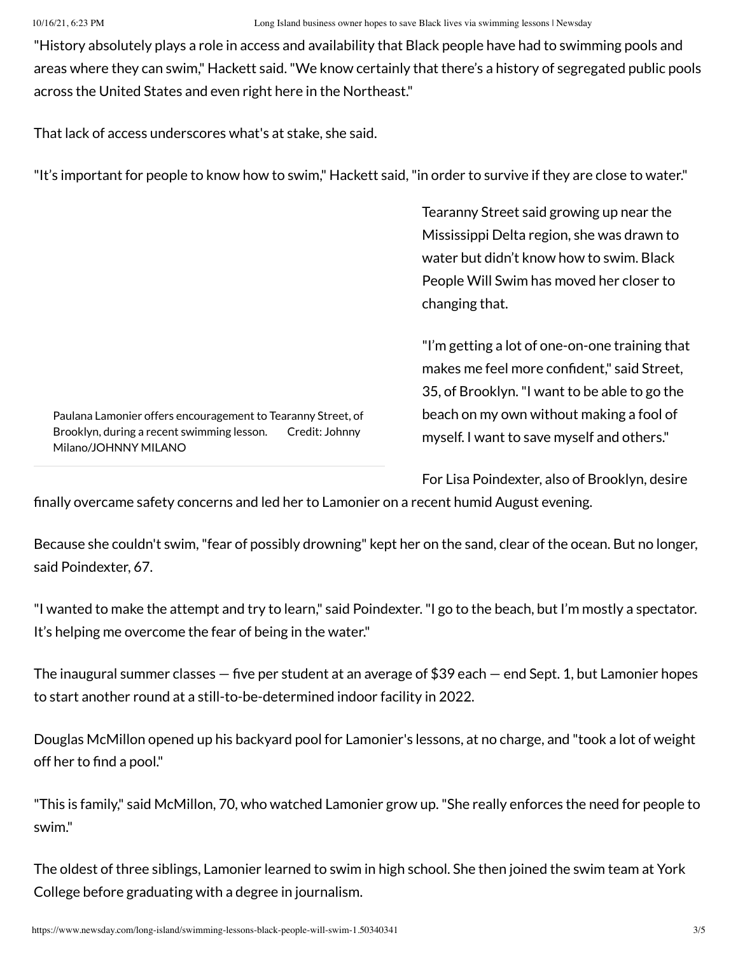"History absolutely plays a role in access and availability that Black people have had to swimming pools and areas where they can swim," Hackett said."We know certainly that there's a history of segregated public pools across the United States and even right here in the Northeast."

That lack of access underscores what's at stake, she said.

"It's important for people to know how to swim," Hackett said,"in order to survive if they are close to water."

Tearanny Street said growing up near the Mississippi Delta region, she was drawn to water but didn't know how to swim. Black People Will Swim has moved her closer to changing that.

"I'm getting a lot of one-on-one training that makes me feel more confident," said Street, 35, of Brooklyn."I want to be able to go the beach on my own without making a fool of myself. I want to save myself and others."

Paulana Lamonier offers encouragement to Tearanny Street, of Brooklyn, during a recent swimming lesson. Credit: Johnny Milano/JOHNNY MILANO

For Lisa Poindexter, also of Brooklyn, desire

finally overcame safety concerns and led her to Lamonier on a recent humid August evening.

Because she couldn't swim,"fear of possibly drowning" kept her on the sand, clear of the ocean. But no longer, said Poindexter, 67.

"I wanted to make the attempt and try to learn," said Poindexter."I go to the beach, but I'm mostly a spectator. It's helping me overcome the fear of being in the water."

The inaugural summer classes — five per student at an average of \$39 each — end Sept. 1, but Lamonier hopes to start another round at a still-to-be-determined indoor facility in 2022.

Douglas McMillon opened up his backyard pool for Lamonier's lessons, at no charge, and "took a lot of weight off her to find a pool."

"This is family," said McMillon, 70, who watched Lamonier grow up."She really enforces the need for people to swim."

The oldest of three siblings, Lamonier learned to swim in high school. She then joined the swim team at York College before graduating with a degree in journalism.